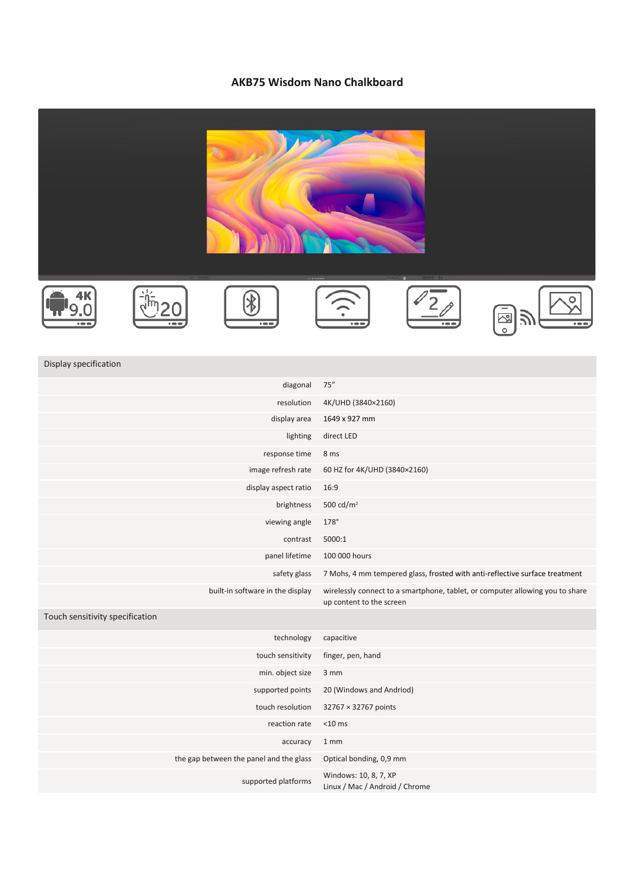## **AKB75 Wisdom Nano Chalkboard**















## Display specification

| diagonal                                | 75''                                                                                                      |
|-----------------------------------------|-----------------------------------------------------------------------------------------------------------|
| resolution                              | 4K/UHD (3840×2160)                                                                                        |
| display area                            | 1649 x 927 mm                                                                                             |
| lighting                                | direct LED                                                                                                |
| response time                           | 8 ms                                                                                                      |
| image refresh rate                      | 60 HZ for 4K/UHD (3840×2160)                                                                              |
| display aspect ratio                    | 16:9                                                                                                      |
| brightness                              | 500 cd/ $m2$                                                                                              |
| viewing angle                           | $178^\circ$                                                                                               |
| contrast                                | 5000:1                                                                                                    |
| panel lifetime                          | 100 000 hours                                                                                             |
| safety glass                            | 7 Mohs, 4 mm tempered glass, frosted with anti-reflective surface treatment                               |
| built-in software in the display        | wirelessly connect to a smartphone, tablet, or computer allowing you to share<br>up content to the screen |
| Touch sensitivity specification         |                                                                                                           |
| technology                              | capacitive                                                                                                |
| touch sensitivity                       | finger, pen, hand                                                                                         |
| min. object size                        | 3 mm                                                                                                      |
| supported points                        | 20 (Windows and Andriod)                                                                                  |
| touch resolution                        | 32767 × 32767 points                                                                                      |
| reaction rate                           | $<$ 10 $\,$ ms                                                                                            |
| accuracy                                | 1 <sub>mm</sub>                                                                                           |
| the gap between the panel and the glass | Optical bonding, 0,9 mm                                                                                   |
| supported platforms                     | Windows: 10, 8, 7, XP<br>Linux / Mac / Android / Chrome                                                   |